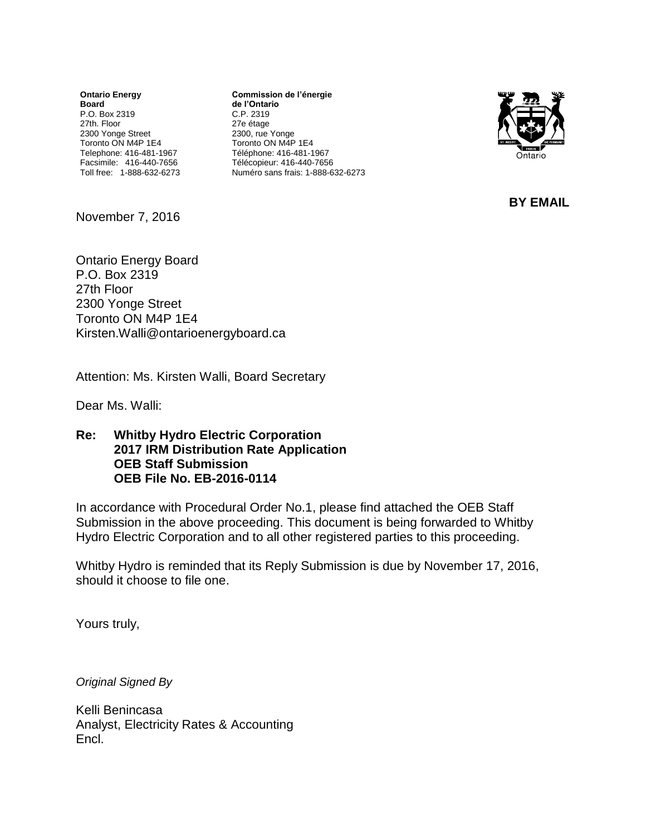**Ontario Energy Board** P.O. Box 2319 27th. Floor 2300 Yonge Street Toronto ON M4P 1E4 Telephone: 416-481-1967 Facsimile: 416-440-7656 Toll free: 1-888-632-6273

**Commission de l'énergie de l'Ontario** C.P. 2319 27e étage 2300, rue Yonge Toronto ON M4P 1E4 Téléphone: 416-481-1967 Télécopieur: 416-440-7656 Numéro sans frais: 1-888-632-6273



**BY EMAIL**

November 7, 2016

Ontario Energy Board P.O. Box 2319 27th Floor 2300 Yonge Street Toronto ON M4P 1E4 [Kirsten.Walli@ontarioenergyboard.ca](mailto:Kirsten.Walli@ontarioenergyboard.ca)

Attention: Ms. Kirsten Walli, Board Secretary

Dear Ms. Walli:

**Re: Whitby Hydro Electric Corporation 2017 IRM Distribution Rate Application OEB Staff Submission OEB File No. EB-2016-0114**

In accordance with Procedural Order No.1, please find attached the OEB Staff Submission in the above proceeding. This document is being forwarded to Whitby Hydro Electric Corporation and to all other registered parties to this proceeding.

Whitby Hydro is reminded that its Reply Submission is due by November 17, 2016, should it choose to file one.

Yours truly,

*Original Signed By*

Kelli Benincasa Analyst, Electricity Rates & Accounting Encl.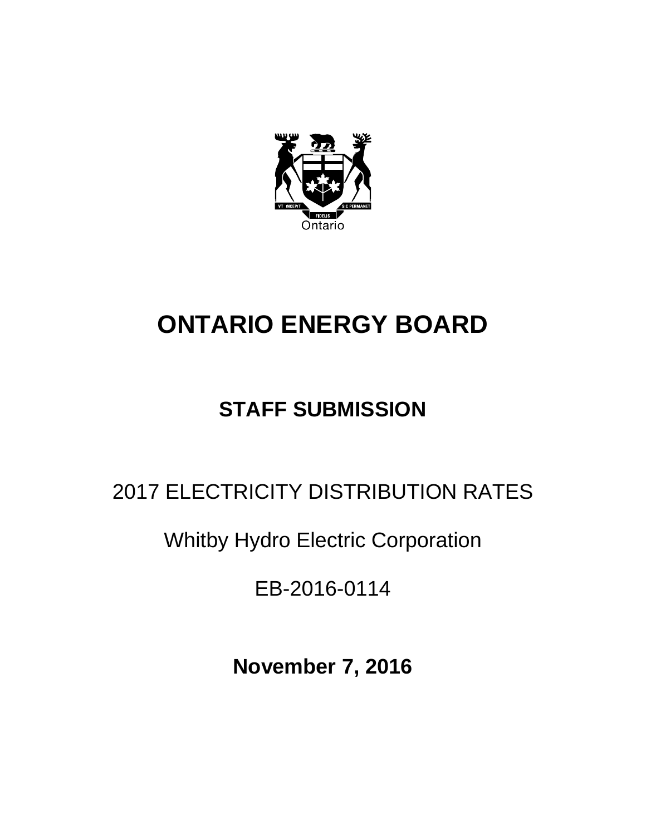

# **ONTARIO ENERGY BOARD**

# **STAFF SUBMISSION**

# 2017 ELECTRICITY DISTRIBUTION RATES

Whitby Hydro Electric Corporation

EB-2016-0114

**November 7, 2016**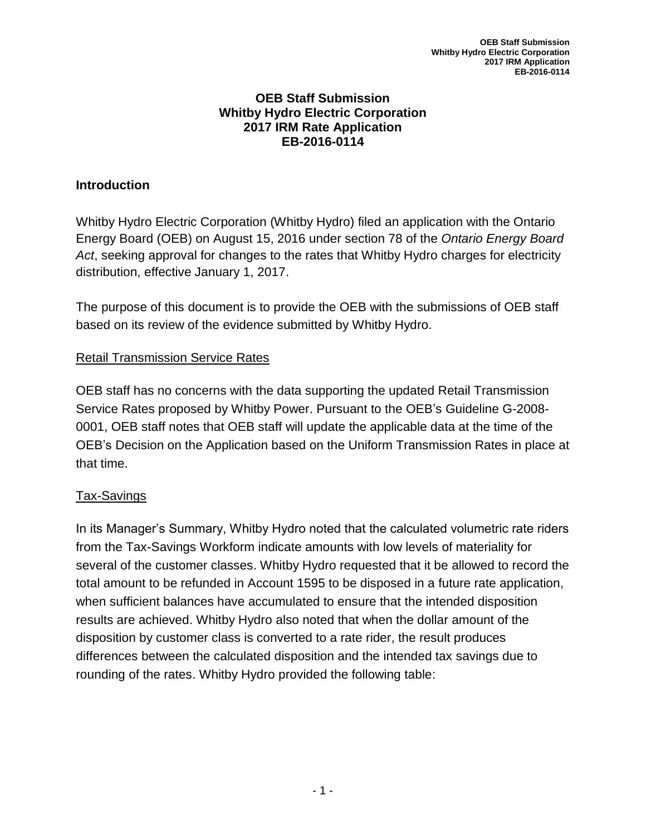#### **OEB Staff Submission Whitby Hydro Electric Corporation 2017 IRM Rate Application EB-2016-0114**

## **Introduction**

Whitby Hydro Electric Corporation (Whitby Hydro) filed an application with the Ontario Energy Board (OEB) on August 15, 2016 under section 78 of the *Ontario Energy Board Act*, seeking approval for changes to the rates that Whitby Hydro charges for electricity distribution, effective January 1, 2017.

The purpose of this document is to provide the OEB with the submissions of OEB staff based on its review of the evidence submitted by Whitby Hydro.

#### Retail Transmission Service Rates

OEB staff has no concerns with the data supporting the updated Retail Transmission Service Rates proposed by Whitby Power. Pursuant to the OEB's Guideline G-2008- 0001, OEB staff notes that OEB staff will update the applicable data at the time of the OEB's Decision on the Application based on the Uniform Transmission Rates in place at that time.

#### Tax-Savings

In its Manager's Summary, Whitby Hydro noted that the calculated volumetric rate riders from the Tax-Savings Workform indicate amounts with low levels of materiality for several of the customer classes. Whitby Hydro requested that it be allowed to record the total amount to be refunded in Account 1595 to be disposed in a future rate application, when sufficient balances have accumulated to ensure that the intended disposition results are achieved. Whitby Hydro also noted that when the dollar amount of the disposition by customer class is converted to a rate rider, the result produces differences between the calculated disposition and the intended tax savings due to rounding of the rates. Whitby Hydro provided the following table: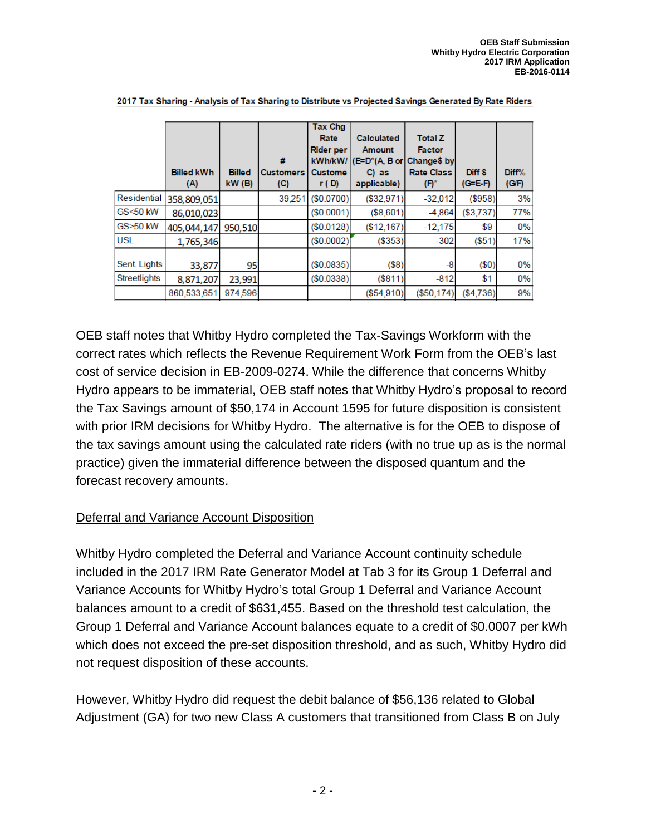|              | <b>Billed kWh</b><br>(A) | <b>Billed</b><br>$KW$ (B) | #<br>Customers<br>(C) | <b>Tax Chg</b><br>Rate<br><b>Rider per</b><br>kWh/kW/<br><b>Custome</b><br>r(D) | <b>Calculated</b><br>Amount<br>$(E=D^*(A, B \text{ or }$<br>$C$ ) as<br>applicable) | <b>Total Z</b><br><b>Factor</b><br>Change\$ by<br><b>Rate Class</b><br>$(\mathsf{F})^*$ | Diff <sup>\$</sup><br>$(G=E \cdot F)$ | Diff%<br>(G/F) |
|--------------|--------------------------|---------------------------|-----------------------|---------------------------------------------------------------------------------|-------------------------------------------------------------------------------------|-----------------------------------------------------------------------------------------|---------------------------------------|----------------|
| Residential  | 358,809,051              |                           | 39,251                | (\$0.0700)                                                                      | (\$32,971)                                                                          | $-32,012$                                                                               | (\$958)                               | 3%             |
| GS<50 kW     | 86,010,023               |                           |                       | (\$0.0001)                                                                      | (\$8,601)                                                                           | $-4,864$                                                                                | (\$3,737)                             | 77%            |
| GS>50 kW     | 405,044,147              | 950.510                   |                       | (\$0.0128)                                                                      | (\$12,167)                                                                          | $-12,175$                                                                               | \$9                                   | 0%             |
| <b>USL</b>   | 1,765,346                |                           |                       | (\$0.0002)                                                                      | (\$353)                                                                             | $-302$                                                                                  | (\$51)                                | 17%            |
| Sent. Lights | 33,877                   | 95                        |                       | (\$0.0835)                                                                      | $(\$8)$                                                                             | $-8$                                                                                    | $(\$0)$                               | 0%             |
| Streetlights | 8,871,207                | 23,991                    |                       | (\$0.0338)                                                                      | (S811)                                                                              | $-812$                                                                                  | \$1                                   | 0%             |
|              | 860,533,651              | 974,596                   |                       |                                                                                 | (\$54.910)                                                                          | (\$50.174)                                                                              | (\$4.736)                             | 9%             |

2017 Tax Sharing - Analysis of Tax Sharing to Distribute vs Projected Savings Generated By Rate Riders

OEB staff notes that Whitby Hydro completed the Tax-Savings Workform with the correct rates which reflects the Revenue Requirement Work Form from the OEB's last cost of service decision in EB-2009-0274. While the difference that concerns Whitby Hydro appears to be immaterial, OEB staff notes that Whitby Hydro's proposal to record the Tax Savings amount of \$50,174 in Account 1595 for future disposition is consistent with prior IRM decisions for Whitby Hydro. The alternative is for the OEB to dispose of the tax savings amount using the calculated rate riders (with no true up as is the normal practice) given the immaterial difference between the disposed quantum and the forecast recovery amounts.

## Deferral and Variance Account Disposition

Whitby Hydro completed the Deferral and Variance Account continuity schedule included in the 2017 IRM Rate Generator Model at Tab 3 for its Group 1 Deferral and Variance Accounts for Whitby Hydro's total Group 1 Deferral and Variance Account balances amount to a credit of \$631,455. Based on the threshold test calculation, the Group 1 Deferral and Variance Account balances equate to a credit of \$0.0007 per kWh which does not exceed the pre-set disposition threshold, and as such, Whitby Hydro did not request disposition of these accounts.

However, Whitby Hydro did request the debit balance of \$56,136 related to Global Adjustment (GA) for two new Class A customers that transitioned from Class B on July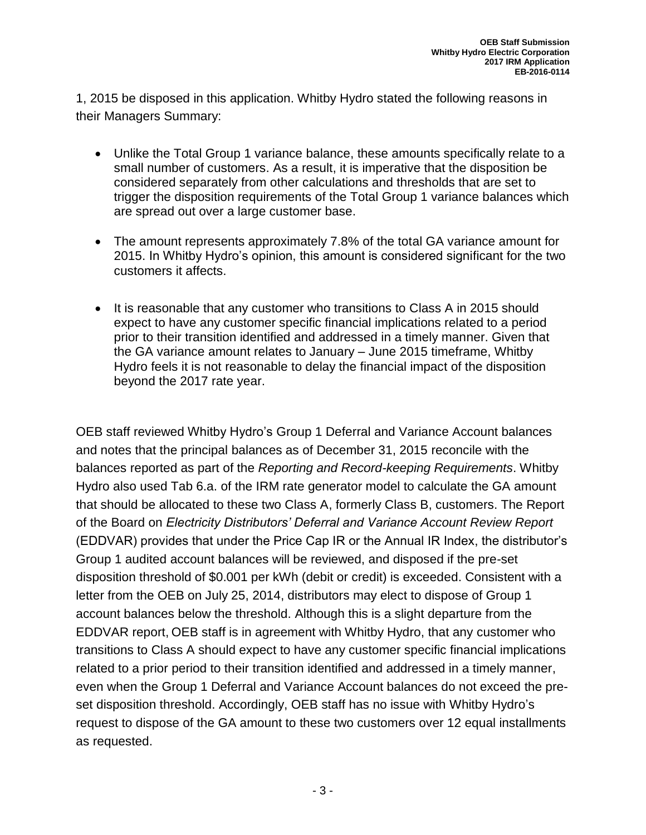1, 2015 be disposed in this application. Whitby Hydro stated the following reasons in their Managers Summary:

- Unlike the Total Group 1 variance balance, these amounts specifically relate to a small number of customers. As a result, it is imperative that the disposition be considered separately from other calculations and thresholds that are set to trigger the disposition requirements of the Total Group 1 variance balances which are spread out over a large customer base.
- The amount represents approximately 7.8% of the total GA variance amount for 2015. In Whitby Hydro's opinion, this amount is considered significant for the two customers it affects.
- It is reasonable that any customer who transitions to Class A in 2015 should expect to have any customer specific financial implications related to a period prior to their transition identified and addressed in a timely manner. Given that the GA variance amount relates to January – June 2015 timeframe, Whitby Hydro feels it is not reasonable to delay the financial impact of the disposition beyond the 2017 rate year.

OEB staff reviewed Whitby Hydro's Group 1 Deferral and Variance Account balances and notes that the principal balances as of December 31, 2015 reconcile with the balances reported as part of the *Reporting and Record-keeping Requirements*. Whitby Hydro also used Tab 6.a. of the IRM rate generator model to calculate the GA amount that should be allocated to these two Class A, formerly Class B, customers. The Report of the Board on *Electricity Distributors' Deferral and Variance Account Review Report* (EDDVAR) provides that under the Price Cap IR or the Annual IR Index, the distributor's Group 1 audited account balances will be reviewed, and disposed if the pre-set disposition threshold of \$0.001 per kWh (debit or credit) is exceeded. Consistent with a letter from the OEB on July 25, 2014, distributors may elect to dispose of Group 1 account balances below the threshold. Although this is a slight departure from the EDDVAR report, OEB staff is in agreement with Whitby Hydro, that any customer who transitions to Class A should expect to have any customer specific financial implications related to a prior period to their transition identified and addressed in a timely manner, even when the Group 1 Deferral and Variance Account balances do not exceed the preset disposition threshold. Accordingly, OEB staff has no issue with Whitby Hydro's request to dispose of the GA amount to these two customers over 12 equal installments as requested.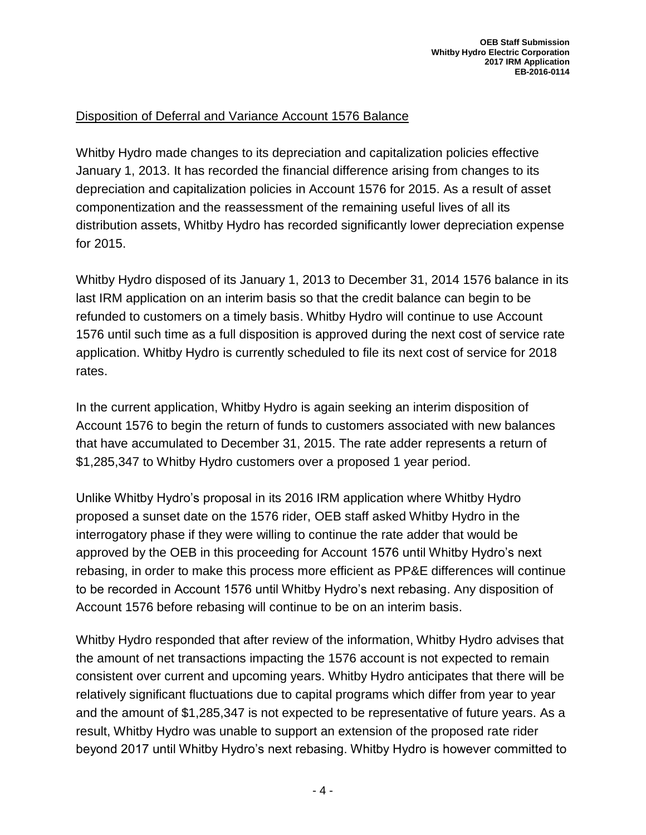## Disposition of Deferral and Variance Account 1576 Balance

Whitby Hydro made changes to its depreciation and capitalization policies effective January 1, 2013. It has recorded the financial difference arising from changes to its depreciation and capitalization policies in Account 1576 for 2015. As a result of asset componentization and the reassessment of the remaining useful lives of all its distribution assets, Whitby Hydro has recorded significantly lower depreciation expense for 2015.

Whitby Hydro disposed of its January 1, 2013 to December 31, 2014 1576 balance in its last IRM application on an interim basis so that the credit balance can begin to be refunded to customers on a timely basis. Whitby Hydro will continue to use Account 1576 until such time as a full disposition is approved during the next cost of service rate application. Whitby Hydro is currently scheduled to file its next cost of service for 2018 rates.

In the current application, Whitby Hydro is again seeking an interim disposition of Account 1576 to begin the return of funds to customers associated with new balances that have accumulated to December 31, 2015. The rate adder represents a return of \$1,285,347 to Whitby Hydro customers over a proposed 1 year period.

Unlike Whitby Hydro's proposal in its 2016 IRM application where Whitby Hydro proposed a sunset date on the 1576 rider, OEB staff asked Whitby Hydro in the interrogatory phase if they were willing to continue the rate adder that would be approved by the OEB in this proceeding for Account 1576 until Whitby Hydro's next rebasing, in order to make this process more efficient as PP&E differences will continue to be recorded in Account 1576 until Whitby Hydro's next rebasing. Any disposition of Account 1576 before rebasing will continue to be on an interim basis.

Whitby Hydro responded that after review of the information, Whitby Hydro advises that the amount of net transactions impacting the 1576 account is not expected to remain consistent over current and upcoming years. Whitby Hydro anticipates that there will be relatively significant fluctuations due to capital programs which differ from year to year and the amount of \$1,285,347 is not expected to be representative of future years. As a result, Whitby Hydro was unable to support an extension of the proposed rate rider beyond 2017 until Whitby Hydro's next rebasing. Whitby Hydro is however committed to